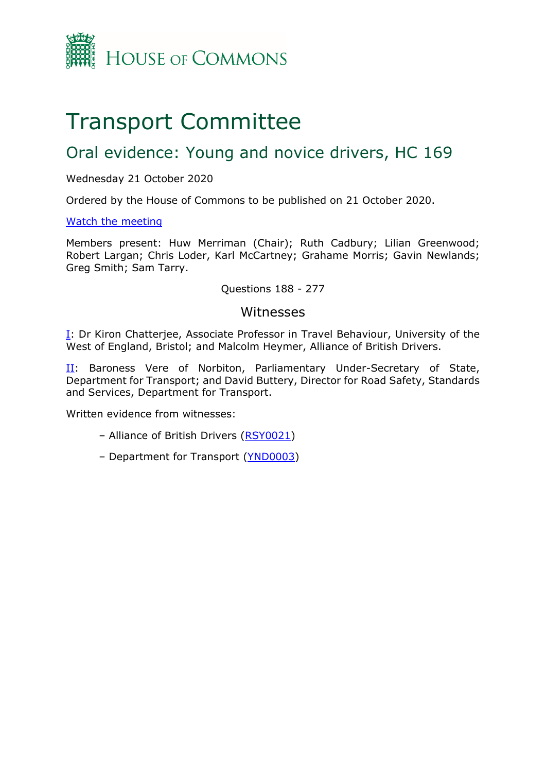

# Transport Committee

# Oral evidence: Young and novice drivers, HC 169

#### Wednesday 21 October 2020

Ordered by the House of Commons to be published on 21 October 2020.

#### [Watch the meeting](https://www.parliamentlive.tv/Event/Index/fab19d7e-448a-45a2-a85b-60066453f879)

Members present: Huw Merriman (Chair); Ruth Cadbury; Lilian Greenwood; Robert Largan; Chris Loder, Karl McCartney; Grahame Morris; Gavin Newlands; Greg Smith; Sam Tarry.

#### Questions 188 - 277

#### Witnesses

**[I:](#page-1-0)** Dr Kiron Chatterjee, Associate Professor in Travel Behaviour, University of the West of England, Bristol; and Malcolm Heymer, Alliance of British Drivers.

[II:](#page-13-0) Baroness Vere of Norbiton, Parliamentary Under-Secretary of State, Department for Transport; and David Buttery, Director for Road Safety, Standards and Services, Department for Transport.

Written evidence from witnesses:

- Alliance of British Drivers [\(RSY0021\)](http://data.parliament.uk/writtenevidence/committeeevidence.svc/evidencedocument/transport-committee/road-safety-young-and-novice-drivers/written/104645.pdf)
- Department for Transport [\(YND0003\)](https://committees.parliament.uk/writtenevidence/1327/pdf/)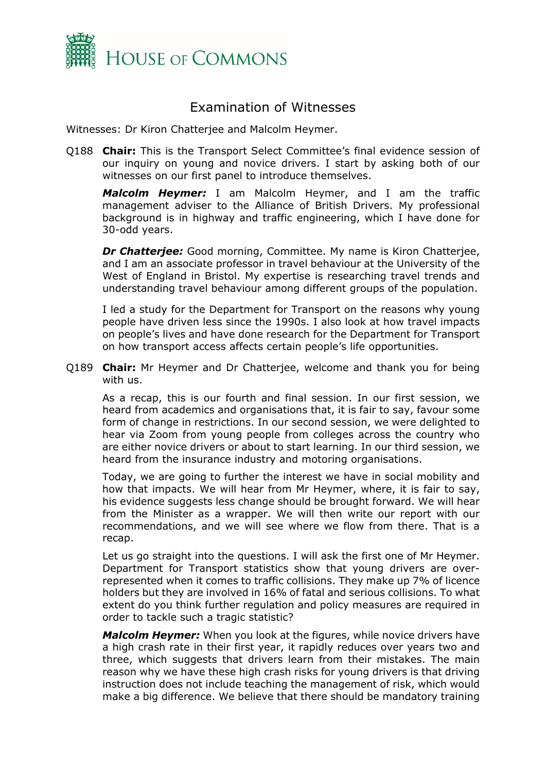

## Examination of Witnesses

<span id="page-1-0"></span>Witnesses: Dr Kiron Chatterjee and Malcolm Heymer.

Q188 **Chair:** This is the Transport Select Committee's final evidence session of our inquiry on young and novice drivers. I start by asking both of our witnesses on our first panel to introduce themselves.

*Malcolm Heymer:* I am Malcolm Heymer, and I am the traffic management adviser to the Alliance of British Drivers. My professional background is in highway and traffic engineering, which I have done for 30-odd years.

*Dr Chatterjee:* Good morning, Committee. My name is Kiron Chatterjee, and I am an associate professor in travel behaviour at the University of the West of England in Bristol. My expertise is researching travel trends and understanding travel behaviour among different groups of the population.

I led a study for the Department for Transport on the reasons why young people have driven less since the 1990s. I also look at how travel impacts on people's lives and have done research for the Department for Transport on how transport access affects certain people's life opportunities.

Q189 **Chair:** Mr Heymer and Dr Chatterjee, welcome and thank you for being with us.

As a recap, this is our fourth and final session. In our first session, we heard from academics and organisations that, it is fair to say, favour some form of change in restrictions. In our second session, we were delighted to hear via Zoom from young people from colleges across the country who are either novice drivers or about to start learning. In our third session, we heard from the insurance industry and motoring organisations.

Today, we are going to further the interest we have in social mobility and how that impacts. We will hear from Mr Heymer, where, it is fair to say, his evidence suggests less change should be brought forward. We will hear from the Minister as a wrapper. We will then write our report with our recommendations, and we will see where we flow from there. That is a recap.

Let us go straight into the questions. I will ask the first one of Mr Heymer. Department for Transport statistics show that young drivers are overrepresented when it comes to traffic collisions. They make up 7% of licence holders but they are involved in 16% of fatal and serious collisions. To what extent do you think further regulation and policy measures are required in order to tackle such a tragic statistic?

*Malcolm Heymer:* When you look at the figures, while novice drivers have a high crash rate in their first year, it rapidly reduces over years two and three, which suggests that drivers learn from their mistakes. The main reason why we have these high crash risks for young drivers is that driving instruction does not include teaching the management of risk, which would make a big difference. We believe that there should be mandatory training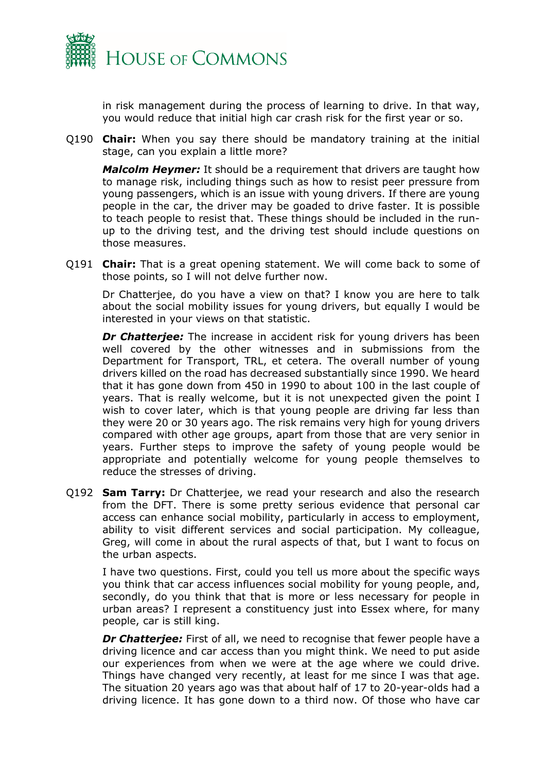

in risk management during the process of learning to drive. In that way, you would reduce that initial high car crash risk for the first year or so.

Q190 **Chair:** When you say there should be mandatory training at the initial stage, can you explain a little more?

*Malcolm Heymer:* It should be a requirement that drivers are taught how to manage risk, including things such as how to resist peer pressure from young passengers, which is an issue with young drivers. If there are young people in the car, the driver may be goaded to drive faster. It is possible to teach people to resist that. These things should be included in the runup to the driving test, and the driving test should include questions on those measures.

Q191 **Chair:** That is a great opening statement. We will come back to some of those points, so I will not delve further now.

Dr Chatterjee, do you have a view on that? I know you are here to talk about the social mobility issues for young drivers, but equally I would be interested in your views on that statistic.

**Dr Chatterjee:** The increase in accident risk for young drivers has been well covered by the other witnesses and in submissions from the Department for Transport, TRL, et cetera. The overall number of young drivers killed on the road has decreased substantially since 1990. We heard that it has gone down from 450 in 1990 to about 100 in the last couple of years. That is really welcome, but it is not unexpected given the point I wish to cover later, which is that young people are driving far less than they were 20 or 30 years ago. The risk remains very high for young drivers compared with other age groups, apart from those that are very senior in years. Further steps to improve the safety of young people would be appropriate and potentially welcome for young people themselves to reduce the stresses of driving.

Q192 **Sam Tarry:** Dr Chatterjee, we read your research and also the research from the DFT. There is some pretty serious evidence that personal car access can enhance social mobility, particularly in access to employment, ability to visit different services and social participation. My colleague, Greg, will come in about the rural aspects of that, but I want to focus on the urban aspects.

I have two questions. First, could you tell us more about the specific ways you think that car access influences social mobility for young people, and, secondly, do you think that that is more or less necessary for people in urban areas? I represent a constituency just into Essex where, for many people, car is still king.

**Dr Chatterjee:** First of all, we need to recognise that fewer people have a driving licence and car access than you might think. We need to put aside our experiences from when we were at the age where we could drive. Things have changed very recently, at least for me since I was that age. The situation 20 years ago was that about half of 17 to 20-year-olds had a driving licence. It has gone down to a third now. Of those who have car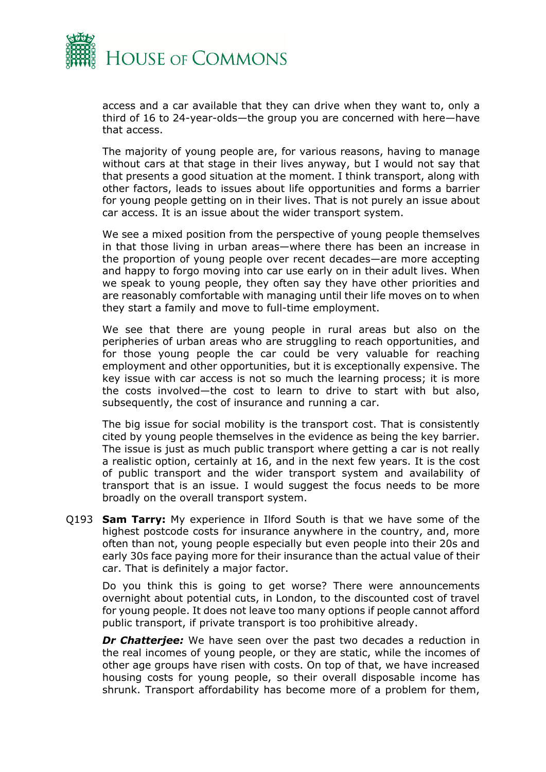

access and a car available that they can drive when they want to, only a third of 16 to 24-year-olds—the group you are concerned with here—have that access.

The majority of young people are, for various reasons, having to manage without cars at that stage in their lives anyway, but I would not say that that presents a good situation at the moment. I think transport, along with other factors, leads to issues about life opportunities and forms a barrier for young people getting on in their lives. That is not purely an issue about car access. It is an issue about the wider transport system.

We see a mixed position from the perspective of young people themselves in that those living in urban areas—where there has been an increase in the proportion of young people over recent decades—are more accepting and happy to forgo moving into car use early on in their adult lives. When we speak to young people, they often say they have other priorities and are reasonably comfortable with managing until their life moves on to when they start a family and move to full-time employment.

We see that there are young people in rural areas but also on the peripheries of urban areas who are struggling to reach opportunities, and for those young people the car could be very valuable for reaching employment and other opportunities, but it is exceptionally expensive. The key issue with car access is not so much the learning process; it is more the costs involved—the cost to learn to drive to start with but also, subsequently, the cost of insurance and running a car.

The big issue for social mobility is the transport cost. That is consistently cited by young people themselves in the evidence as being the key barrier. The issue is just as much public transport where getting a car is not really a realistic option, certainly at 16, and in the next few years. It is the cost of public transport and the wider transport system and availability of transport that is an issue. I would suggest the focus needs to be more broadly on the overall transport system.

Q193 **Sam Tarry:** My experience in Ilford South is that we have some of the highest postcode costs for insurance anywhere in the country, and, more often than not, young people especially but even people into their 20s and early 30s face paying more for their insurance than the actual value of their car. That is definitely a major factor.

Do you think this is going to get worse? There were announcements overnight about potential cuts, in London, to the discounted cost of travel for young people. It does not leave too many options if people cannot afford public transport, if private transport is too prohibitive already.

*Dr Chatterjee:* We have seen over the past two decades a reduction in the real incomes of young people, or they are static, while the incomes of other age groups have risen with costs. On top of that, we have increased housing costs for young people, so their overall disposable income has shrunk. Transport affordability has become more of a problem for them,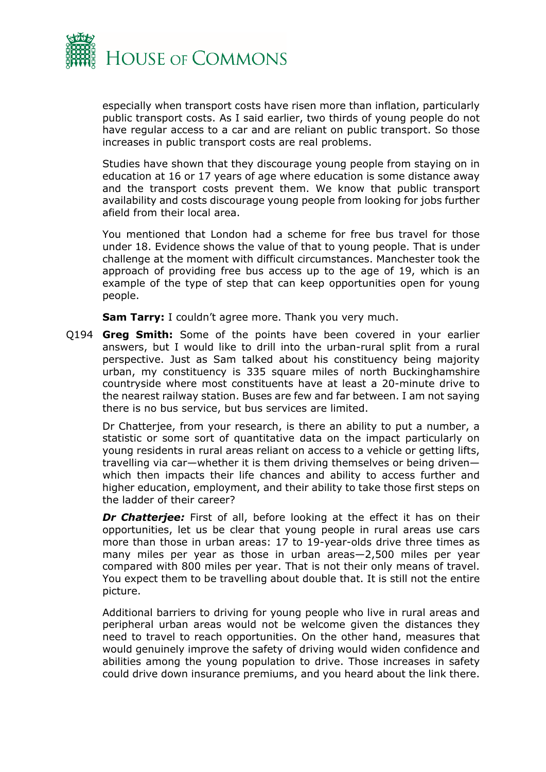

especially when transport costs have risen more than inflation, particularly public transport costs. As I said earlier, two thirds of young people do not have regular access to a car and are reliant on public transport. So those increases in public transport costs are real problems.

Studies have shown that they discourage young people from staying on in education at 16 or 17 years of age where education is some distance away and the transport costs prevent them. We know that public transport availability and costs discourage young people from looking for jobs further afield from their local area.

You mentioned that London had a scheme for free bus travel for those under 18. Evidence shows the value of that to young people. That is under challenge at the moment with difficult circumstances. Manchester took the approach of providing free bus access up to the age of 19, which is an example of the type of step that can keep opportunities open for young people.

**Sam Tarry:** I couldn't agree more. Thank you very much.

Q194 **Greg Smith:** Some of the points have been covered in your earlier answers, but I would like to drill into the urban-rural split from a rural perspective. Just as Sam talked about his constituency being majority urban, my constituency is 335 square miles of north Buckinghamshire countryside where most constituents have at least a 20-minute drive to the nearest railway station. Buses are few and far between. I am not saying there is no bus service, but bus services are limited.

Dr Chatterjee, from your research, is there an ability to put a number, a statistic or some sort of quantitative data on the impact particularly on young residents in rural areas reliant on access to a vehicle or getting lifts, travelling via car—whether it is them driving themselves or being driven which then impacts their life chances and ability to access further and higher education, employment, and their ability to take those first steps on the ladder of their career?

**Dr Chatterjee:** First of all, before looking at the effect it has on their opportunities, let us be clear that young people in rural areas use cars more than those in urban areas: 17 to 19-year-olds drive three times as many miles per year as those in urban areas—2,500 miles per year compared with 800 miles per year. That is not their only means of travel. You expect them to be travelling about double that. It is still not the entire picture.

Additional barriers to driving for young people who live in rural areas and peripheral urban areas would not be welcome given the distances they need to travel to reach opportunities. On the other hand, measures that would genuinely improve the safety of driving would widen confidence and abilities among the young population to drive. Those increases in safety could drive down insurance premiums, and you heard about the link there.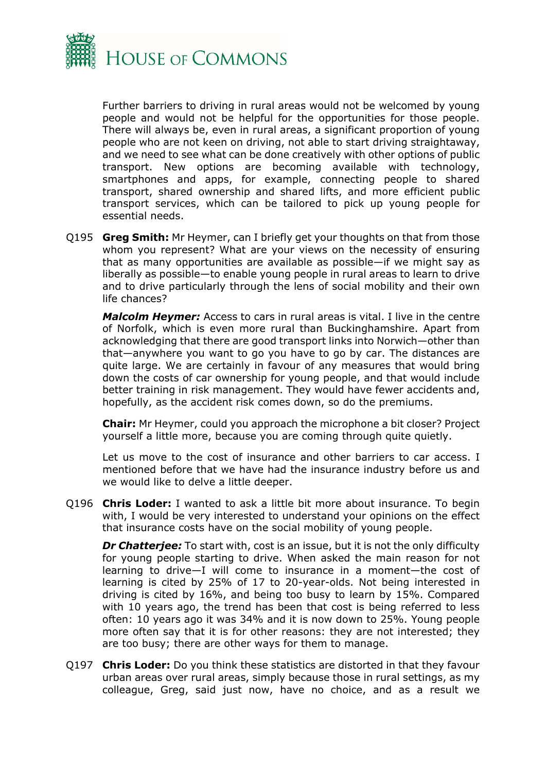

Further barriers to driving in rural areas would not be welcomed by young people and would not be helpful for the opportunities for those people. There will always be, even in rural areas, a significant proportion of young people who are not keen on driving, not able to start driving straightaway, and we need to see what can be done creatively with other options of public transport. New options are becoming available with technology, smartphones and apps, for example, connecting people to shared transport, shared ownership and shared lifts, and more efficient public transport services, which can be tailored to pick up young people for essential needs.

Q195 **Greg Smith:** Mr Heymer, can I briefly get your thoughts on that from those whom you represent? What are your views on the necessity of ensuring that as many opportunities are available as possible—if we might say as liberally as possible—to enable young people in rural areas to learn to drive and to drive particularly through the lens of social mobility and their own life chances?

*Malcolm Heymer:* Access to cars in rural areas is vital. I live in the centre of Norfolk, which is even more rural than Buckinghamshire. Apart from acknowledging that there are good transport links into Norwich—other than that—anywhere you want to go you have to go by car. The distances are quite large. We are certainly in favour of any measures that would bring down the costs of car ownership for young people, and that would include better training in risk management. They would have fewer accidents and, hopefully, as the accident risk comes down, so do the premiums.

**Chair:** Mr Heymer, could you approach the microphone a bit closer? Project yourself a little more, because you are coming through quite quietly.

Let us move to the cost of insurance and other barriers to car access. I mentioned before that we have had the insurance industry before us and we would like to delve a little deeper.

Q196 **Chris Loder:** I wanted to ask a little bit more about insurance. To begin with, I would be very interested to understand your opinions on the effect that insurance costs have on the social mobility of young people.

*Dr Chatterjee:* To start with, cost is an issue, but it is not the only difficulty for young people starting to drive. When asked the main reason for not learning to drive—I will come to insurance in a moment—the cost of learning is cited by 25% of 17 to 20-year-olds. Not being interested in driving is cited by 16%, and being too busy to learn by 15%. Compared with 10 years ago, the trend has been that cost is being referred to less often: 10 years ago it was 34% and it is now down to 25%. Young people more often say that it is for other reasons: they are not interested; they are too busy; there are other ways for them to manage.

Q197 **Chris Loder:** Do you think these statistics are distorted in that they favour urban areas over rural areas, simply because those in rural settings, as my colleague, Greg, said just now, have no choice, and as a result we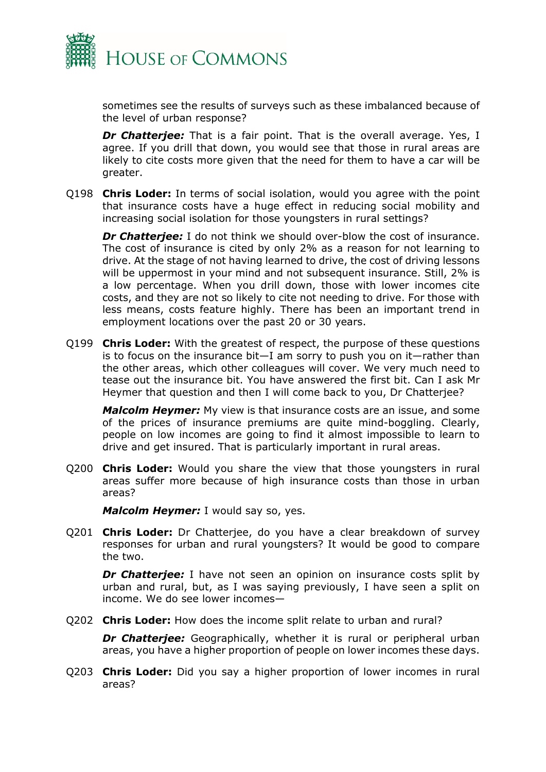

sometimes see the results of surveys such as these imbalanced because of the level of urban response?

*Dr Chatterjee:* That is a fair point. That is the overall average. Yes, I agree. If you drill that down, you would see that those in rural areas are likely to cite costs more given that the need for them to have a car will be greater.

Q198 **Chris Loder:** In terms of social isolation, would you agree with the point that insurance costs have a huge effect in reducing social mobility and increasing social isolation for those youngsters in rural settings?

*Dr Chatterjee:* I do not think we should over-blow the cost of insurance. The cost of insurance is cited by only 2% as a reason for not learning to drive. At the stage of not having learned to drive, the cost of driving lessons will be uppermost in your mind and not subsequent insurance. Still, 2% is a low percentage. When you drill down, those with lower incomes cite costs, and they are not so likely to cite not needing to drive. For those with less means, costs feature highly. There has been an important trend in employment locations over the past 20 or 30 years.

Q199 **Chris Loder:** With the greatest of respect, the purpose of these questions is to focus on the insurance bit—I am sorry to push you on it—rather than the other areas, which other colleagues will cover. We very much need to tease out the insurance bit. You have answered the first bit. Can I ask Mr Heymer that question and then I will come back to you, Dr Chatterjee?

*Malcolm Heymer:* My view is that insurance costs are an issue, and some of the prices of insurance premiums are quite mind-boggling. Clearly, people on low incomes are going to find it almost impossible to learn to drive and get insured. That is particularly important in rural areas.

Q200 **Chris Loder:** Would you share the view that those youngsters in rural areas suffer more because of high insurance costs than those in urban areas?

*Malcolm Heymer:* I would say so, yes.

Q201 **Chris Loder:** Dr Chatterjee, do you have a clear breakdown of survey responses for urban and rural youngsters? It would be good to compare the two.

**Dr Chatterjee:** I have not seen an opinion on insurance costs split by urban and rural, but, as I was saying previously, I have seen a split on income. We do see lower incomes—

Q202 **Chris Loder:** How does the income split relate to urban and rural?

**Dr Chatterjee:** Geographically, whether it is rural or peripheral urban areas, you have a higher proportion of people on lower incomes these days.

Q203 **Chris Loder:** Did you say a higher proportion of lower incomes in rural areas?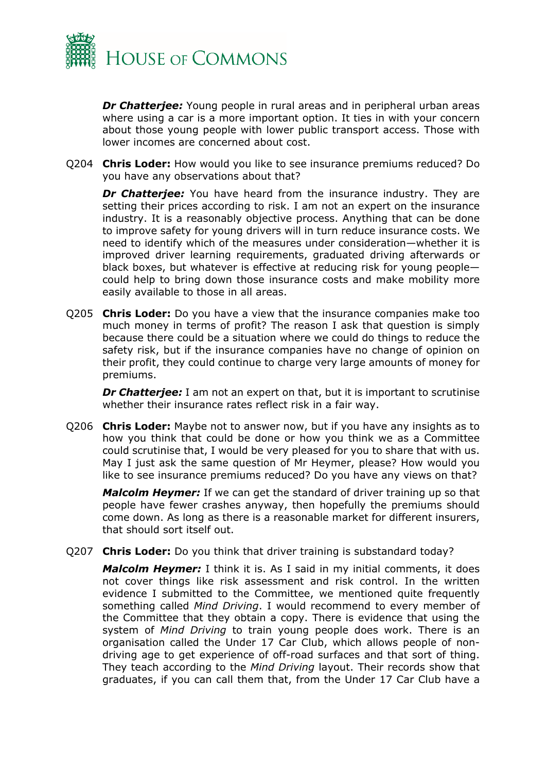

*Dr Chatterjee:* Young people in rural areas and in peripheral urban areas where using a car is a more important option. It ties in with your concern about those young people with lower public transport access. Those with lower incomes are concerned about cost.

Q204 **Chris Loder:** How would you like to see insurance premiums reduced? Do you have any observations about that?

*Dr Chatterjee:* You have heard from the insurance industry. They are setting their prices according to risk. I am not an expert on the insurance industry. It is a reasonably objective process. Anything that can be done to improve safety for young drivers will in turn reduce insurance costs. We need to identify which of the measures under consideration—whether it is improved driver learning requirements, graduated driving afterwards or black boxes, but whatever is effective at reducing risk for young people could help to bring down those insurance costs and make mobility more easily available to those in all areas.

Q205 **Chris Loder:** Do you have a view that the insurance companies make too much money in terms of profit? The reason I ask that question is simply because there could be a situation where we could do things to reduce the safety risk, but if the insurance companies have no change of opinion on their profit, they could continue to charge very large amounts of money for premiums.

**Dr Chatterjee:** I am not an expert on that, but it is important to scrutinise whether their insurance rates reflect risk in a fair way.

Q206 **Chris Loder:** Maybe not to answer now, but if you have any insights as to how you think that could be done or how you think we as a Committee could scrutinise that, I would be very pleased for you to share that with us. May I just ask the same question of Mr Heymer, please? How would you like to see insurance premiums reduced? Do you have any views on that?

*Malcolm Heymer:* If we can get the standard of driver training up so that people have fewer crashes anyway, then hopefully the premiums should come down. As long as there is a reasonable market for different insurers, that should sort itself out.

Q207 **Chris Loder:** Do you think that driver training is substandard today?

*Malcolm Heymer:* I think it is. As I said in my initial comments, it does not cover things like risk assessment and risk control. In the written evidence I submitted to the Committee, we mentioned quite frequently something called *Mind Driving*. I would recommend to every member of the Committee that they obtain a copy. There is evidence that using the system of *Mind Driving* to train young people does work. There is an organisation called the Under 17 Car Club, which allows people of nondriving age to get experience of off-road surfaces and that sort of thing. They teach according to the *Mind Driving* layout. Their records show that graduates, if you can call them that, from the Under 17 Car Club have a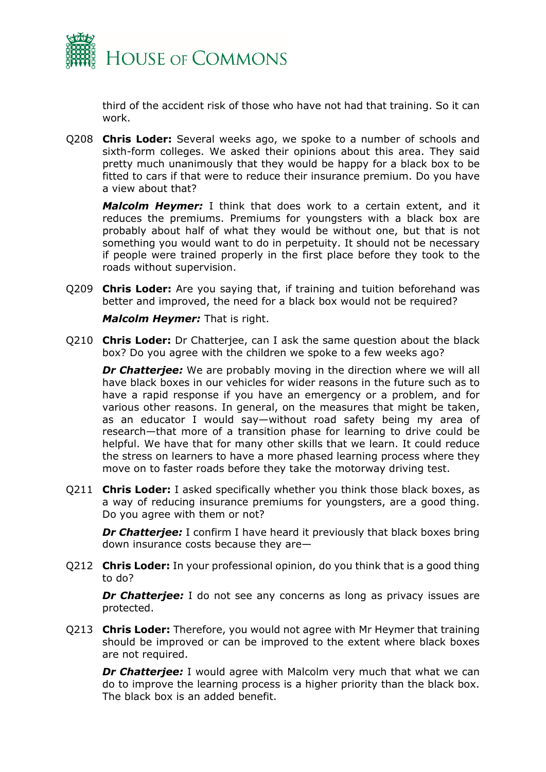

third of the accident risk of those who have not had that training. So it can work.

Q208 **Chris Loder:** Several weeks ago, we spoke to a number of schools and sixth-form colleges. We asked their opinions about this area. They said pretty much unanimously that they would be happy for a black box to be fitted to cars if that were to reduce their insurance premium. Do you have a view about that?

*Malcolm Heymer:* I think that does work to a certain extent, and it reduces the premiums. Premiums for youngsters with a black box are probably about half of what they would be without one, but that is not something you would want to do in perpetuity. It should not be necessary if people were trained properly in the first place before they took to the roads without supervision.

Q209 **Chris Loder:** Are you saying that, if training and tuition beforehand was better and improved, the need for a black box would not be required?

*Malcolm Heymer:* That is right.

Q210 **Chris Loder:** Dr Chatterjee, can I ask the same question about the black box? Do you agree with the children we spoke to a few weeks ago?

**Dr Chatterjee:** We are probably moving in the direction where we will all have black boxes in our vehicles for wider reasons in the future such as to have a rapid response if you have an emergency or a problem, and for various other reasons. In general, on the measures that might be taken, as an educator I would say—without road safety being my area of research—that more of a transition phase for learning to drive could be helpful. We have that for many other skills that we learn. It could reduce the stress on learners to have a more phased learning process where they move on to faster roads before they take the motorway driving test.

Q211 **Chris Loder:** I asked specifically whether you think those black boxes, as a way of reducing insurance premiums for youngsters, are a good thing. Do you agree with them or not?

*Dr Chatterjee:* I confirm I have heard it previously that black boxes bring down insurance costs because they are—

Q212 **Chris Loder:** In your professional opinion, do you think that is a good thing to do?

**Dr Chatterjee:** I do not see any concerns as long as privacy issues are protected.

Q213 **Chris Loder:** Therefore, you would not agree with Mr Heymer that training should be improved or can be improved to the extent where black boxes are not required.

**Dr Chatterjee:** I would agree with Malcolm very much that what we can do to improve the learning process is a higher priority than the black box. The black box is an added benefit.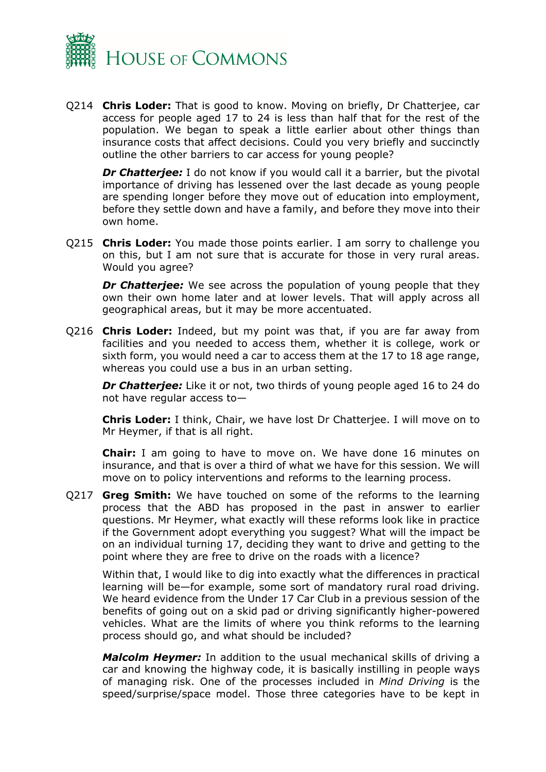

Q214 **Chris Loder:** That is good to know. Moving on briefly, Dr Chatterjee, car access for people aged 17 to 24 is less than half that for the rest of the population. We began to speak a little earlier about other things than insurance costs that affect decisions. Could you very briefly and succinctly outline the other barriers to car access for young people?

**Dr Chatterjee:** I do not know if you would call it a barrier, but the pivotal importance of driving has lessened over the last decade as young people are spending longer before they move out of education into employment, before they settle down and have a family, and before they move into their own home.

Q215 **Chris Loder:** You made those points earlier. I am sorry to challenge you on this, but I am not sure that is accurate for those in very rural areas. Would you agree?

*Dr Chatterjee:* We see across the population of young people that they own their own home later and at lower levels. That will apply across all geographical areas, but it may be more accentuated.

Q216 **Chris Loder:** Indeed, but my point was that, if you are far away from facilities and you needed to access them, whether it is college, work or sixth form, you would need a car to access them at the 17 to 18 age range, whereas you could use a bus in an urban setting.

*Dr Chatterjee:* Like it or not, two thirds of young people aged 16 to 24 do not have regular access to—

**Chris Loder:** I think, Chair, we have lost Dr Chatterjee. I will move on to Mr Heymer, if that is all right.

**Chair:** I am going to have to move on. We have done 16 minutes on insurance, and that is over a third of what we have for this session. We will move on to policy interventions and reforms to the learning process.

Q217 **Greg Smith:** We have touched on some of the reforms to the learning process that the ABD has proposed in the past in answer to earlier questions. Mr Heymer, what exactly will these reforms look like in practice if the Government adopt everything you suggest? What will the impact be on an individual turning 17, deciding they want to drive and getting to the point where they are free to drive on the roads with a licence?

Within that, I would like to dig into exactly what the differences in practical learning will be—for example, some sort of mandatory rural road driving. We heard evidence from the Under 17 Car Club in a previous session of the benefits of going out on a skid pad or driving significantly higher-powered vehicles. What are the limits of where you think reforms to the learning process should go, and what should be included?

*Malcolm Heymer:* In addition to the usual mechanical skills of driving a car and knowing the highway code, it is basically instilling in people ways of managing risk. One of the processes included in *Mind Driving* is the speed/surprise/space model. Those three categories have to be kept in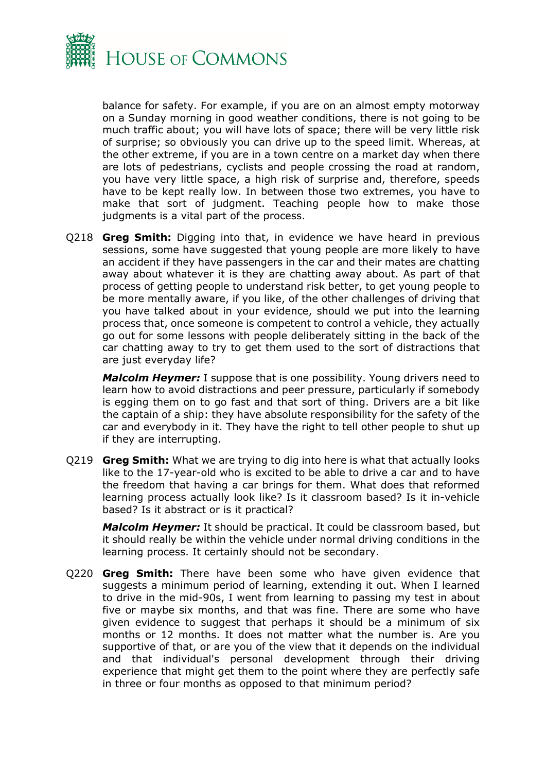

balance for safety. For example, if you are on an almost empty motorway on a Sunday morning in good weather conditions, there is not going to be much traffic about; you will have lots of space; there will be very little risk of surprise; so obviously you can drive up to the speed limit. Whereas, at the other extreme, if you are in a town centre on a market day when there are lots of pedestrians, cyclists and people crossing the road at random, you have very little space, a high risk of surprise and, therefore, speeds have to be kept really low. In between those two extremes, you have to make that sort of judgment. Teaching people how to make those judgments is a vital part of the process.

Q218 **Greg Smith:** Digging into that, in evidence we have heard in previous sessions, some have suggested that young people are more likely to have an accident if they have passengers in the car and their mates are chatting away about whatever it is they are chatting away about. As part of that process of getting people to understand risk better, to get young people to be more mentally aware, if you like, of the other challenges of driving that you have talked about in your evidence, should we put into the learning process that, once someone is competent to control a vehicle, they actually go out for some lessons with people deliberately sitting in the back of the car chatting away to try to get them used to the sort of distractions that are just everyday life?

*Malcolm Heymer:* I suppose that is one possibility. Young drivers need to learn how to avoid distractions and peer pressure, particularly if somebody is egging them on to go fast and that sort of thing. Drivers are a bit like the captain of a ship: they have absolute responsibility for the safety of the car and everybody in it. They have the right to tell other people to shut up if they are interrupting.

Q219 **Greg Smith:** What we are trying to dig into here is what that actually looks like to the 17-year-old who is excited to be able to drive a car and to have the freedom that having a car brings for them. What does that reformed learning process actually look like? Is it classroom based? Is it in-vehicle based? Is it abstract or is it practical?

*Malcolm Heymer:* It should be practical. It could be classroom based, but it should really be within the vehicle under normal driving conditions in the learning process. It certainly should not be secondary.

Q220 **Greg Smith:** There have been some who have given evidence that suggests a minimum period of learning, extending it out. When I learned to drive in the mid-90s, I went from learning to passing my test in about five or maybe six months, and that was fine. There are some who have given evidence to suggest that perhaps it should be a minimum of six months or 12 months. It does not matter what the number is. Are you supportive of that, or are you of the view that it depends on the individual and that individual's personal development through their driving experience that might get them to the point where they are perfectly safe in three or four months as opposed to that minimum period?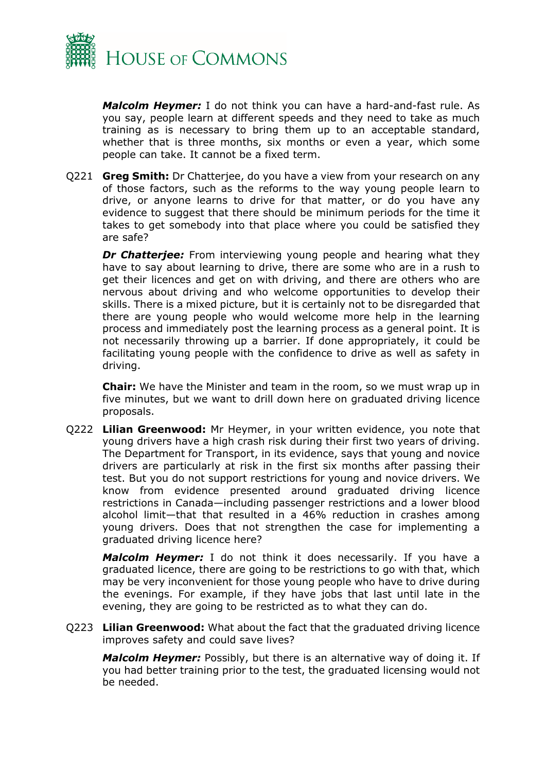

*Malcolm Heymer:* I do not think you can have a hard-and-fast rule. As you say, people learn at different speeds and they need to take as much training as is necessary to bring them up to an acceptable standard, whether that is three months, six months or even a year, which some people can take. It cannot be a fixed term.

Q221 **Greg Smith:** Dr Chatterjee, do you have a view from your research on any of those factors, such as the reforms to the way young people learn to drive, or anyone learns to drive for that matter, or do you have any evidence to suggest that there should be minimum periods for the time it takes to get somebody into that place where you could be satisfied they are safe?

*Dr Chatterjee:* From interviewing young people and hearing what they have to say about learning to drive, there are some who are in a rush to get their licences and get on with driving, and there are others who are nervous about driving and who welcome opportunities to develop their skills. There is a mixed picture, but it is certainly not to be disregarded that there are young people who would welcome more help in the learning process and immediately post the learning process as a general point. It is not necessarily throwing up a barrier. If done appropriately, it could be facilitating young people with the confidence to drive as well as safety in driving.

**Chair:** We have the Minister and team in the room, so we must wrap up in five minutes, but we want to drill down here on graduated driving licence proposals.

Q222 **Lilian Greenwood:** Mr Heymer, in your written evidence, you note that young drivers have a high crash risk during their first two years of driving. The Department for Transport, in its evidence, says that young and novice drivers are particularly at risk in the first six months after passing their test. But you do not support restrictions for young and novice drivers. We know from evidence presented around graduated driving licence restrictions in Canada—including passenger restrictions and a lower blood alcohol limit—that that resulted in a 46% reduction in crashes among young drivers. Does that not strengthen the case for implementing a graduated driving licence here?

*Malcolm Heymer:* I do not think it does necessarily. If you have a graduated licence, there are going to be restrictions to go with that, which may be very inconvenient for those young people who have to drive during the evenings. For example, if they have jobs that last until late in the evening, they are going to be restricted as to what they can do.

Q223 **Lilian Greenwood:** What about the fact that the graduated driving licence improves safety and could save lives?

*Malcolm Heymer:* Possibly, but there is an alternative way of doing it. If you had better training prior to the test, the graduated licensing would not be needed.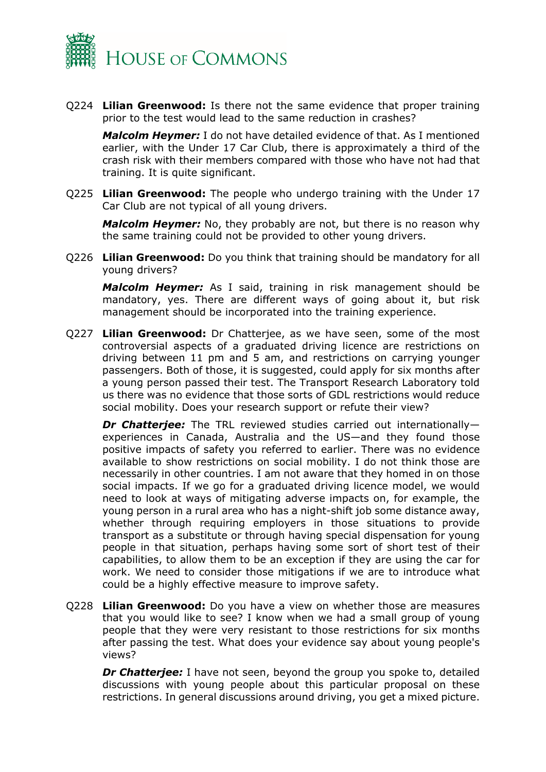

Q224 **Lilian Greenwood:** Is there not the same evidence that proper training prior to the test would lead to the same reduction in crashes?

*Malcolm Heymer:* I do not have detailed evidence of that. As I mentioned earlier, with the Under 17 Car Club, there is approximately a third of the crash risk with their members compared with those who have not had that training. It is quite significant.

Q225 **Lilian Greenwood:** The people who undergo training with the Under 17 Car Club are not typical of all young drivers.

*Malcolm Heymer:* No, they probably are not, but there is no reason why the same training could not be provided to other young drivers.

Q226 **Lilian Greenwood:** Do you think that training should be mandatory for all young drivers?

*Malcolm Heymer:* As I said, training in risk management should be mandatory, yes. There are different ways of going about it, but risk management should be incorporated into the training experience.

Q227 **Lilian Greenwood:** Dr Chatterjee, as we have seen, some of the most controversial aspects of a graduated driving licence are restrictions on driving between 11 pm and 5 am, and restrictions on carrying younger passengers. Both of those, it is suggested, could apply for six months after a young person passed their test. The Transport Research Laboratory told us there was no evidence that those sorts of GDL restrictions would reduce social mobility. Does your research support or refute their view?

*Dr Chatterjee:* The TRL reviewed studies carried out internationally experiences in Canada, Australia and the US—and they found those positive impacts of safety you referred to earlier. There was no evidence available to show restrictions on social mobility. I do not think those are necessarily in other countries. I am not aware that they homed in on those social impacts. If we go for a graduated driving licence model, we would need to look at ways of mitigating adverse impacts on, for example, the young person in a rural area who has a night-shift job some distance away, whether through requiring employers in those situations to provide transport as a substitute or through having special dispensation for young people in that situation, perhaps having some sort of short test of their capabilities, to allow them to be an exception if they are using the car for work. We need to consider those mitigations if we are to introduce what could be a highly effective measure to improve safety.

Q228 **Lilian Greenwood:** Do you have a view on whether those are measures that you would like to see? I know when we had a small group of young people that they were very resistant to those restrictions for six months after passing the test. What does your evidence say about young people's views?

*Dr Chatterjee:* I have not seen, beyond the group you spoke to, detailed discussions with young people about this particular proposal on these restrictions. In general discussions around driving, you get a mixed picture.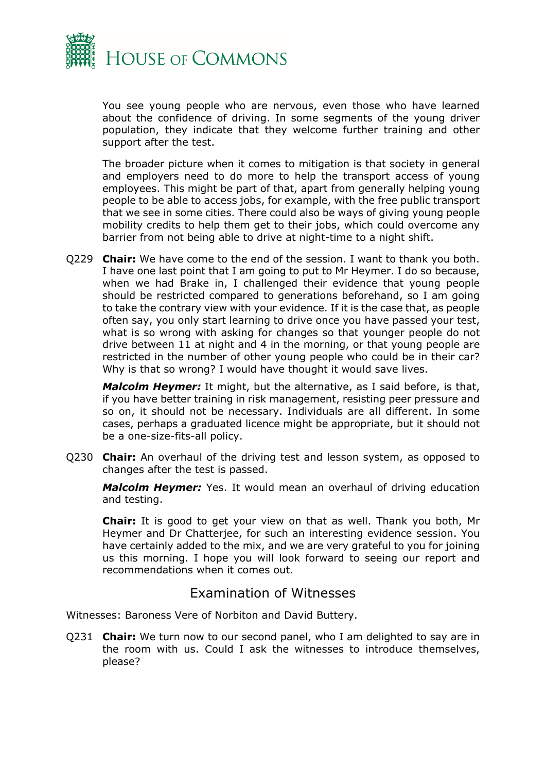

You see young people who are nervous, even those who have learned about the confidence of driving. In some segments of the young driver population, they indicate that they welcome further training and other support after the test.

The broader picture when it comes to mitigation is that society in general and employers need to do more to help the transport access of young employees. This might be part of that, apart from generally helping young people to be able to access jobs, for example, with the free public transport that we see in some cities. There could also be ways of giving young people mobility credits to help them get to their jobs, which could overcome any barrier from not being able to drive at night-time to a night shift.

Q229 **Chair:** We have come to the end of the session. I want to thank you both. I have one last point that I am going to put to Mr Heymer. I do so because, when we had Brake in, I challenged their evidence that young people should be restricted compared to generations beforehand, so I am going to take the contrary view with your evidence. If it is the case that, as people often say, you only start learning to drive once you have passed your test, what is so wrong with asking for changes so that younger people do not drive between 11 at night and 4 in the morning, or that young people are restricted in the number of other young people who could be in their car? Why is that so wrong? I would have thought it would save lives.

*Malcolm Heymer:* It might, but the alternative, as I said before, is that, if you have better training in risk management, resisting peer pressure and so on, it should not be necessary. Individuals are all different. In some cases, perhaps a graduated licence might be appropriate, but it should not be a one-size-fits-all policy.

Q230 **Chair:** An overhaul of the driving test and lesson system, as opposed to changes after the test is passed.

*Malcolm Heymer:* Yes. It would mean an overhaul of driving education and testing.

**Chair:** It is good to get your view on that as well. Thank you both, Mr Heymer and Dr Chatterjee, for such an interesting evidence session. You have certainly added to the mix, and we are very grateful to you for joining us this morning. I hope you will look forward to seeing our report and recommendations when it comes out.

### Examination of Witnesses

<span id="page-13-0"></span>Witnesses: Baroness Vere of Norbiton and David Buttery.

Q231 **Chair:** We turn now to our second panel, who I am delighted to say are in the room with us. Could I ask the witnesses to introduce themselves, please?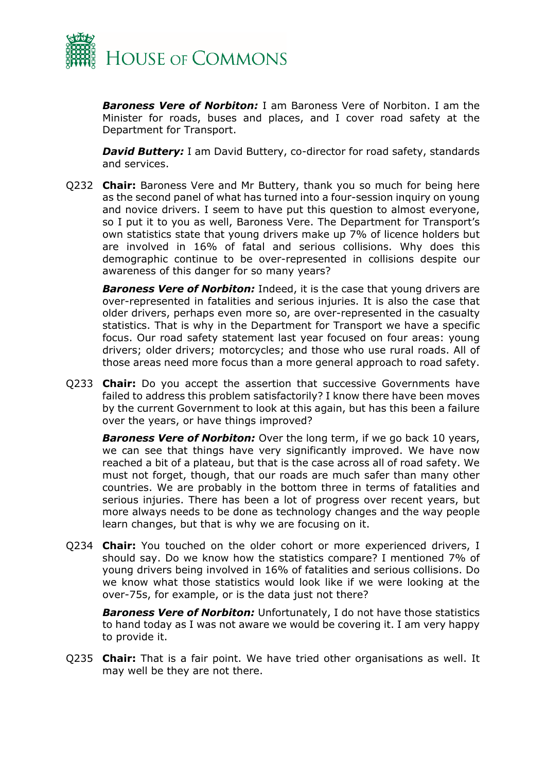

*Baroness Vere of Norbiton:* I am Baroness Vere of Norbiton. I am the Minister for roads, buses and places, and I cover road safety at the Department for Transport.

**David Buttery:** I am David Buttery, co-director for road safety, standards and services.

Q232 **Chair:** Baroness Vere and Mr Buttery, thank you so much for being here as the second panel of what has turned into a four-session inquiry on young and novice drivers. I seem to have put this question to almost everyone, so I put it to you as well, Baroness Vere. The Department for Transport's own statistics state that young drivers make up 7% of licence holders but are involved in 16% of fatal and serious collisions. Why does this demographic continue to be over-represented in collisions despite our awareness of this danger for so many years?

**Baroness Vere of Norbiton:** Indeed, it is the case that young drivers are over-represented in fatalities and serious injuries. It is also the case that older drivers, perhaps even more so, are over-represented in the casualty statistics. That is why in the Department for Transport we have a specific focus. Our road safety statement last year focused on four areas: young drivers; older drivers; motorcycles; and those who use rural roads. All of those areas need more focus than a more general approach to road safety.

Q233 **Chair:** Do you accept the assertion that successive Governments have failed to address this problem satisfactorily? I know there have been moves by the current Government to look at this again, but has this been a failure over the years, or have things improved?

**Baroness Vere of Norbiton:** Over the long term, if we go back 10 years, we can see that things have very significantly improved. We have now reached a bit of a plateau, but that is the case across all of road safety. We must not forget, though, that our roads are much safer than many other countries. We are probably in the bottom three in terms of fatalities and serious injuries. There has been a lot of progress over recent years, but more always needs to be done as technology changes and the way people learn changes, but that is why we are focusing on it.

Q234 **Chair:** You touched on the older cohort or more experienced drivers, I should say. Do we know how the statistics compare? I mentioned 7% of young drivers being involved in 16% of fatalities and serious collisions. Do we know what those statistics would look like if we were looking at the over-75s, for example, or is the data just not there?

**Baroness Vere of Norbiton:** Unfortunately, I do not have those statistics to hand today as I was not aware we would be covering it. I am very happy to provide it.

Q235 **Chair:** That is a fair point. We have tried other organisations as well. It may well be they are not there.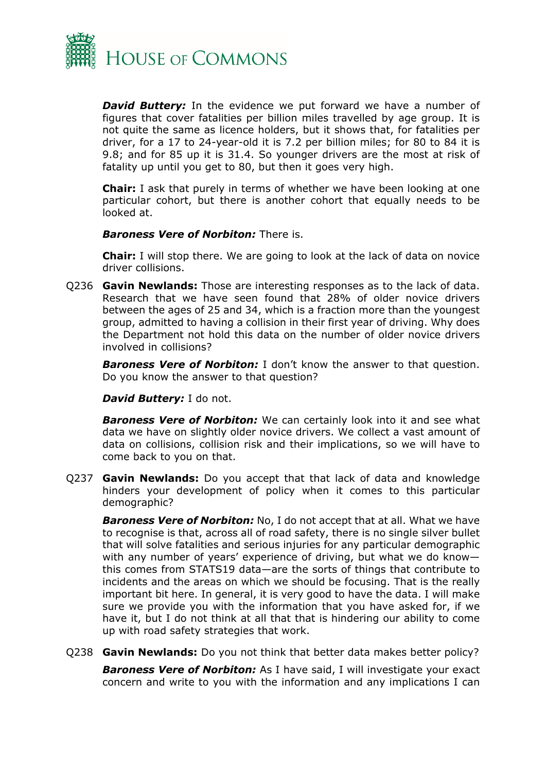

**David Buttery:** In the evidence we put forward we have a number of figures that cover fatalities per billion miles travelled by age group. It is not quite the same as licence holders, but it shows that, for fatalities per driver, for a 17 to 24-year-old it is 7.2 per billion miles; for 80 to 84 it is 9.8; and for 85 up it is 31.4. So younger drivers are the most at risk of fatality up until you get to 80, but then it goes very high.

**Chair:** I ask that purely in terms of whether we have been looking at one particular cohort, but there is another cohort that equally needs to be looked at.

*Baroness Vere of Norbiton:* There is.

**Chair:** I will stop there. We are going to look at the lack of data on novice driver collisions.

Q236 **Gavin Newlands:** Those are interesting responses as to the lack of data. Research that we have seen found that 28% of older novice drivers between the ages of 25 and 34, which is a fraction more than the youngest group, admitted to having a collision in their first year of driving. Why does the Department not hold this data on the number of older novice drivers involved in collisions?

*Baroness Vere of Norbiton:* I don't know the answer to that question. Do you know the answer to that question?

*David Buttery:* I do not.

**Baroness Vere of Norbiton:** We can certainly look into it and see what data we have on slightly older novice drivers. We collect a vast amount of data on collisions, collision risk and their implications, so we will have to come back to you on that.

Q237 **Gavin Newlands:** Do you accept that that lack of data and knowledge hinders your development of policy when it comes to this particular demographic?

**Baroness Vere of Norbiton:** No, I do not accept that at all. What we have to recognise is that, across all of road safety, there is no single silver bullet that will solve fatalities and serious injuries for any particular demographic with any number of years' experience of driving, but what we do know this comes from STATS19 data—are the sorts of things that contribute to incidents and the areas on which we should be focusing. That is the really important bit here. In general, it is very good to have the data. I will make sure we provide you with the information that you have asked for, if we have it, but I do not think at all that that is hindering our ability to come up with road safety strategies that work.

Q238 **Gavin Newlands:** Do you not think that better data makes better policy?

**Baroness Vere of Norbiton:** As I have said, I will investigate your exact concern and write to you with the information and any implications I can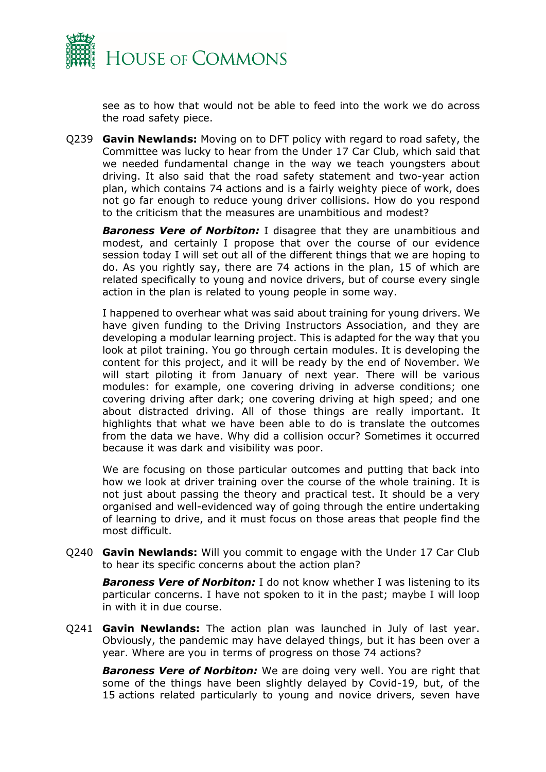

see as to how that would not be able to feed into the work we do across the road safety piece.

Q239 **Gavin Newlands:** Moving on to DFT policy with regard to road safety, the Committee was lucky to hear from the Under 17 Car Club, which said that we needed fundamental change in the way we teach youngsters about driving. It also said that the road safety statement and two-year action plan, which contains 74 actions and is a fairly weighty piece of work, does not go far enough to reduce young driver collisions. How do you respond to the criticism that the measures are unambitious and modest?

**Baroness Vere of Norbiton:** I disagree that they are unambitious and modest, and certainly I propose that over the course of our evidence session today I will set out all of the different things that we are hoping to do. As you rightly say, there are 74 actions in the plan, 15 of which are related specifically to young and novice drivers, but of course every single action in the plan is related to young people in some way.

I happened to overhear what was said about training for young drivers. We have given funding to the Driving Instructors Association, and they are developing a modular learning project. This is adapted for the way that you look at pilot training. You go through certain modules. It is developing the content for this project, and it will be ready by the end of November. We will start piloting it from January of next year. There will be various modules: for example, one covering driving in adverse conditions; one covering driving after dark; one covering driving at high speed; and one about distracted driving. All of those things are really important. It highlights that what we have been able to do is translate the outcomes from the data we have. Why did a collision occur? Sometimes it occurred because it was dark and visibility was poor.

We are focusing on those particular outcomes and putting that back into how we look at driver training over the course of the whole training. It is not just about passing the theory and practical test. It should be a very organised and well-evidenced way of going through the entire undertaking of learning to drive, and it must focus on those areas that people find the most difficult.

Q240 **Gavin Newlands:** Will you commit to engage with the Under 17 Car Club to hear its specific concerns about the action plan?

**Baroness Vere of Norbiton:** I do not know whether I was listening to its particular concerns. I have not spoken to it in the past; maybe I will loop in with it in due course.

Q241 **Gavin Newlands:** The action plan was launched in July of last year. Obviously, the pandemic may have delayed things, but it has been over a year. Where are you in terms of progress on those 74 actions?

*Baroness Vere of Norbiton:* We are doing very well. You are right that some of the things have been slightly delayed by Covid-19, but, of the 15 actions related particularly to young and novice drivers, seven have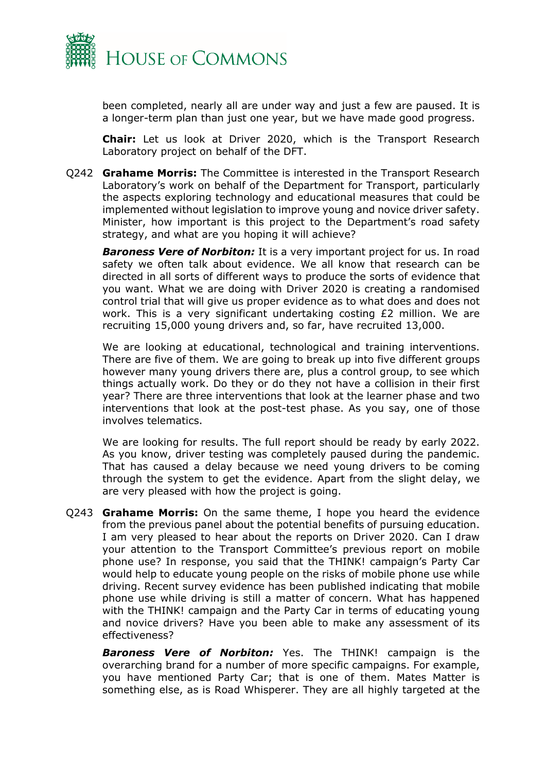

been completed, nearly all are under way and just a few are paused. It is a longer-term plan than just one year, but we have made good progress.

**Chair:** Let us look at Driver 2020, which is the Transport Research Laboratory project on behalf of the DFT.

Q242 **Grahame Morris:** The Committee is interested in the Transport Research Laboratory's work on behalf of the Department for Transport, particularly the aspects exploring technology and educational measures that could be implemented without legislation to improve young and novice driver safety. Minister, how important is this project to the Department's road safety strategy, and what are you hoping it will achieve?

*Baroness Vere of Norbiton:* It is a very important project for us. In road safety we often talk about evidence. We all know that research can be directed in all sorts of different ways to produce the sorts of evidence that you want. What we are doing with Driver 2020 is creating a randomised control trial that will give us proper evidence as to what does and does not work. This is a very significant undertaking costing £2 million. We are recruiting 15,000 young drivers and, so far, have recruited 13,000.

We are looking at educational, technological and training interventions. There are five of them. We are going to break up into five different groups however many young drivers there are, plus a control group, to see which things actually work. Do they or do they not have a collision in their first year? There are three interventions that look at the learner phase and two interventions that look at the post-test phase. As you say, one of those involves telematics.

We are looking for results. The full report should be ready by early 2022. As you know, driver testing was completely paused during the pandemic. That has caused a delay because we need young drivers to be coming through the system to get the evidence. Apart from the slight delay, we are very pleased with how the project is going.

Q243 **Grahame Morris:** On the same theme, I hope you heard the evidence from the previous panel about the potential benefits of pursuing education. I am very pleased to hear about the reports on Driver 2020. Can I draw your attention to the Transport Committee's previous report on mobile phone use? In response, you said that the THINK! campaign's Party Car would help to educate young people on the risks of mobile phone use while driving. Recent survey evidence has been published indicating that mobile phone use while driving is still a matter of concern. What has happened with the THINK! campaign and the Party Car in terms of educating young and novice drivers? Have you been able to make any assessment of its effectiveness?

*Baroness Vere of Norbiton:* Yes. The THINK! campaign is the overarching brand for a number of more specific campaigns. For example, you have mentioned Party Car; that is one of them. Mates Matter is something else, as is Road Whisperer. They are all highly targeted at the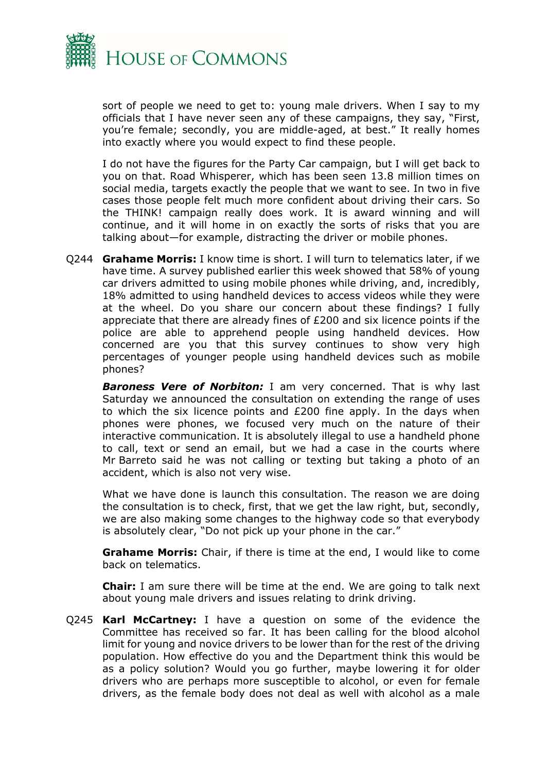

sort of people we need to get to: young male drivers. When I say to my officials that I have never seen any of these campaigns, they say, "First, you're female; secondly, you are middle-aged, at best." It really homes into exactly where you would expect to find these people.

I do not have the figures for the Party Car campaign, but I will get back to you on that. Road Whisperer, which has been seen 13.8 million times on social media, targets exactly the people that we want to see. In two in five cases those people felt much more confident about driving their cars. So the THINK! campaign really does work. It is award winning and will continue, and it will home in on exactly the sorts of risks that you are talking about—for example, distracting the driver or mobile phones.

Q244 **Grahame Morris:** I know time is short. I will turn to telematics later, if we have time. A survey published earlier this week showed that 58% of young car drivers admitted to using mobile phones while driving, and, incredibly, 18% admitted to using handheld devices to access videos while they were at the wheel. Do you share our concern about these findings? I fully appreciate that there are already fines of £200 and six licence points if the police are able to apprehend people using handheld devices. How concerned are you that this survey continues to show very high percentages of younger people using handheld devices such as mobile phones?

**Baroness Vere of Norbiton:** I am very concerned. That is why last Saturday we announced the consultation on extending the range of uses to which the six licence points and £200 fine apply. In the days when phones were phones, we focused very much on the nature of their interactive communication. It is absolutely illegal to use a handheld phone to call, text or send an email, but we had a case in the courts where Mr Barreto said he was not calling or texting but taking a photo of an accident, which is also not very wise.

What we have done is launch this consultation. The reason we are doing the consultation is to check, first, that we get the law right, but, secondly, we are also making some changes to the highway code so that everybody is absolutely clear, "Do not pick up your phone in the car."

**Grahame Morris:** Chair, if there is time at the end, I would like to come back on telematics.

**Chair:** I am sure there will be time at the end. We are going to talk next about young male drivers and issues relating to drink driving.

Q245 **Karl McCartney:** I have a question on some of the evidence the Committee has received so far. It has been calling for the blood alcohol limit for young and novice drivers to be lower than for the rest of the driving population. How effective do you and the Department think this would be as a policy solution? Would you go further, maybe lowering it for older drivers who are perhaps more susceptible to alcohol, or even for female drivers, as the female body does not deal as well with alcohol as a male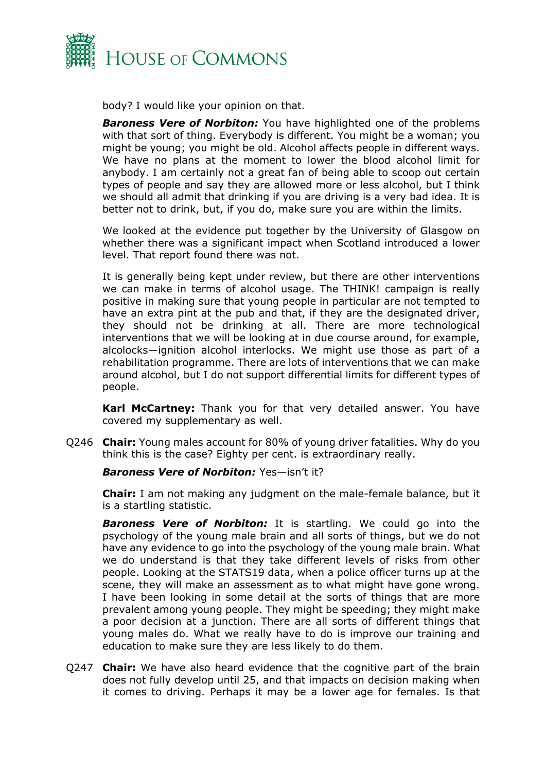

body? I would like your opinion on that.

**Baroness Vere of Norbiton:** You have highlighted one of the problems with that sort of thing. Everybody is different. You might be a woman; you might be young; you might be old. Alcohol affects people in different ways. We have no plans at the moment to lower the blood alcohol limit for anybody. I am certainly not a great fan of being able to scoop out certain types of people and say they are allowed more or less alcohol, but I think we should all admit that drinking if you are driving is a very bad idea. It is better not to drink, but, if you do, make sure you are within the limits.

We looked at the evidence put together by the University of Glasgow on whether there was a significant impact when Scotland introduced a lower level. That report found there was not.

It is generally being kept under review, but there are other interventions we can make in terms of alcohol usage. The THINK! campaign is really positive in making sure that young people in particular are not tempted to have an extra pint at the pub and that, if they are the designated driver, they should not be drinking at all. There are more technological interventions that we will be looking at in due course around, for example, alcolocks—ignition alcohol interlocks. We might use those as part of a rehabilitation programme. There are lots of interventions that we can make around alcohol, but I do not support differential limits for different types of people.

**Karl McCartney:** Thank you for that very detailed answer. You have covered my supplementary as well.

Q246 **Chair:** Young males account for 80% of young driver fatalities. Why do you think this is the case? Eighty per cent. is extraordinary really.

#### *Baroness Vere of Norbiton:* Yes—isn't it?

**Chair:** I am not making any judgment on the male-female balance, but it is a startling statistic.

**Baroness Vere of Norbiton:** It is startling. We could go into the psychology of the young male brain and all sorts of things, but we do not have any evidence to go into the psychology of the young male brain. What we do understand is that they take different levels of risks from other people. Looking at the STATS19 data, when a police officer turns up at the scene, they will make an assessment as to what might have gone wrong. I have been looking in some detail at the sorts of things that are more prevalent among young people. They might be speeding; they might make a poor decision at a junction. There are all sorts of different things that young males do. What we really have to do is improve our training and education to make sure they are less likely to do them.

Q247 **Chair:** We have also heard evidence that the cognitive part of the brain does not fully develop until 25, and that impacts on decision making when it comes to driving. Perhaps it may be a lower age for females. Is that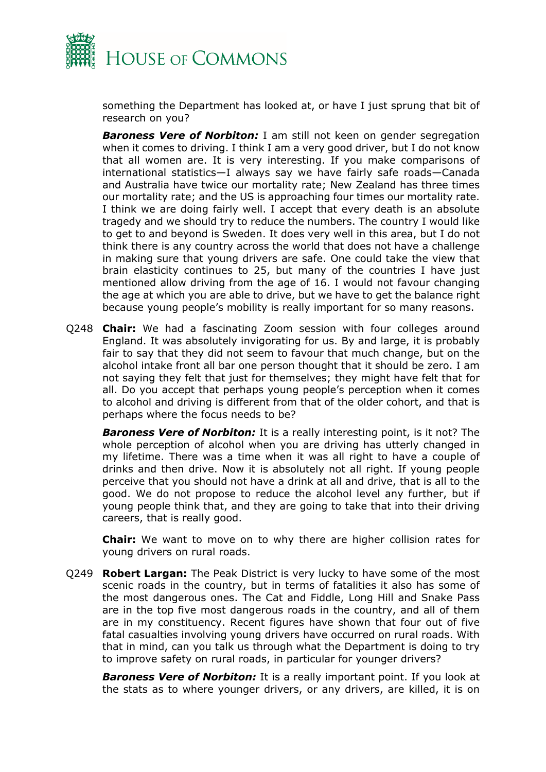

something the Department has looked at, or have I just sprung that bit of research on you?

**Baroness Vere of Norbiton:** I am still not keen on gender segregation when it comes to driving. I think I am a very good driver, but I do not know that all women are. It is very interesting. If you make comparisons of international statistics—I always say we have fairly safe roads—Canada and Australia have twice our mortality rate; New Zealand has three times our mortality rate; and the US is approaching four times our mortality rate. I think we are doing fairly well. I accept that every death is an absolute tragedy and we should try to reduce the numbers. The country I would like to get to and beyond is Sweden. It does very well in this area, but I do not think there is any country across the world that does not have a challenge in making sure that young drivers are safe. One could take the view that brain elasticity continues to 25, but many of the countries I have just mentioned allow driving from the age of 16. I would not favour changing the age at which you are able to drive, but we have to get the balance right because young people's mobility is really important for so many reasons.

Q248 **Chair:** We had a fascinating Zoom session with four colleges around England. It was absolutely invigorating for us. By and large, it is probably fair to say that they did not seem to favour that much change, but on the alcohol intake front all bar one person thought that it should be zero. I am not saying they felt that just for themselves; they might have felt that for all. Do you accept that perhaps young people's perception when it comes to alcohol and driving is different from that of the older cohort, and that is perhaps where the focus needs to be?

*Baroness Vere of Norbiton:* It is a really interesting point, is it not? The whole perception of alcohol when you are driving has utterly changed in my lifetime. There was a time when it was all right to have a couple of drinks and then drive. Now it is absolutely not all right. If young people perceive that you should not have a drink at all and drive, that is all to the good. We do not propose to reduce the alcohol level any further, but if young people think that, and they are going to take that into their driving careers, that is really good.

**Chair:** We want to move on to why there are higher collision rates for young drivers on rural roads.

Q249 **Robert Largan:** The Peak District is very lucky to have some of the most scenic roads in the country, but in terms of fatalities it also has some of the most dangerous ones. The Cat and Fiddle, Long Hill and Snake Pass are in the top five most dangerous roads in the country, and all of them are in my constituency. Recent figures have shown that four out of five fatal casualties involving young drivers have occurred on rural roads. With that in mind, can you talk us through what the Department is doing to try to improve safety on rural roads, in particular for younger drivers?

**Baroness Vere of Norbiton:** It is a really important point. If you look at the stats as to where younger drivers, or any drivers, are killed, it is on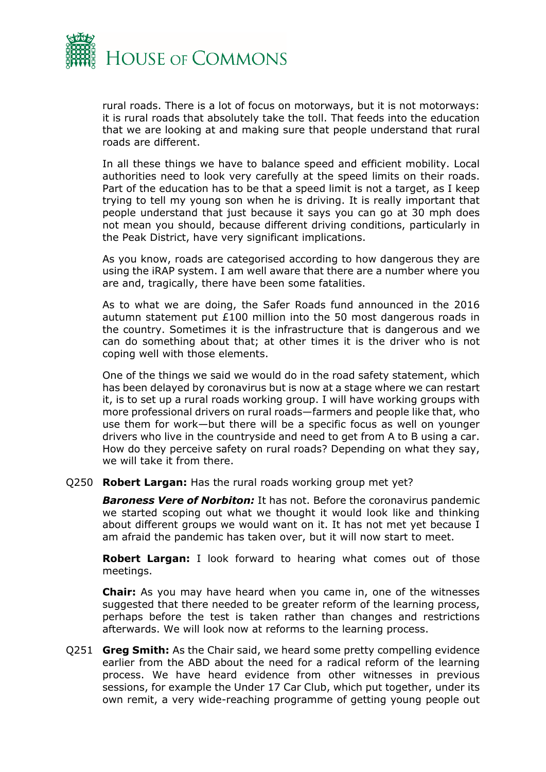

rural roads. There is a lot of focus on motorways, but it is not motorways: it is rural roads that absolutely take the toll. That feeds into the education that we are looking at and making sure that people understand that rural roads are different.

In all these things we have to balance speed and efficient mobility. Local authorities need to look very carefully at the speed limits on their roads. Part of the education has to be that a speed limit is not a target, as I keep trying to tell my young son when he is driving. It is really important that people understand that just because it says you can go at 30 mph does not mean you should, because different driving conditions, particularly in the Peak District, have very significant implications.

As you know, roads are categorised according to how dangerous they are using the iRAP system. I am well aware that there are a number where you are and, tragically, there have been some fatalities.

As to what we are doing, the Safer Roads fund announced in the 2016 autumn statement put £100 million into the 50 most dangerous roads in the country. Sometimes it is the infrastructure that is dangerous and we can do something about that; at other times it is the driver who is not coping well with those elements.

One of the things we said we would do in the road safety statement, which has been delayed by coronavirus but is now at a stage where we can restart it, is to set up a rural roads working group. I will have working groups with more professional drivers on rural roads—farmers and people like that, who use them for work—but there will be a specific focus as well on younger drivers who live in the countryside and need to get from A to B using a car. How do they perceive safety on rural roads? Depending on what they say, we will take it from there.

Q250 **Robert Largan:** Has the rural roads working group met yet?

**Baroness Vere of Norbiton:** It has not. Before the coronavirus pandemic we started scoping out what we thought it would look like and thinking about different groups we would want on it. It has not met yet because I am afraid the pandemic has taken over, but it will now start to meet.

**Robert Largan:** I look forward to hearing what comes out of those meetings.

**Chair:** As you may have heard when you came in, one of the witnesses suggested that there needed to be greater reform of the learning process, perhaps before the test is taken rather than changes and restrictions afterwards. We will look now at reforms to the learning process.

Q251 **Greg Smith:** As the Chair said, we heard some pretty compelling evidence earlier from the ABD about the need for a radical reform of the learning process. We have heard evidence from other witnesses in previous sessions, for example the Under 17 Car Club, which put together, under its own remit, a very wide-reaching programme of getting young people out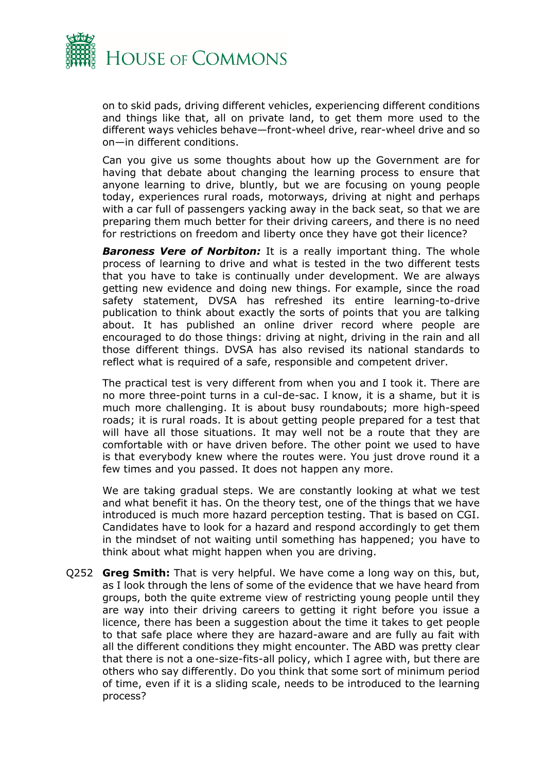

on to skid pads, driving different vehicles, experiencing different conditions and things like that, all on private land, to get them more used to the different ways vehicles behave—front-wheel drive, rear-wheel drive and so on—in different conditions.

Can you give us some thoughts about how up the Government are for having that debate about changing the learning process to ensure that anyone learning to drive, bluntly, but we are focusing on young people today, experiences rural roads, motorways, driving at night and perhaps with a car full of passengers yacking away in the back seat, so that we are preparing them much better for their driving careers, and there is no need for restrictions on freedom and liberty once they have got their licence?

**Baroness Vere of Norbiton:** It is a really important thing. The whole process of learning to drive and what is tested in the two different tests that you have to take is continually under development. We are always getting new evidence and doing new things. For example, since the road safety statement, DVSA has refreshed its entire learning-to-drive publication to think about exactly the sorts of points that you are talking about. It has published an online driver record where people are encouraged to do those things: driving at night, driving in the rain and all those different things. DVSA has also revised its national standards to reflect what is required of a safe, responsible and competent driver.

The practical test is very different from when you and I took it. There are no more three-point turns in a cul-de-sac. I know, it is a shame, but it is much more challenging. It is about busy roundabouts; more high-speed roads; it is rural roads. It is about getting people prepared for a test that will have all those situations. It may well not be a route that they are comfortable with or have driven before. The other point we used to have is that everybody knew where the routes were. You just drove round it a few times and you passed. It does not happen any more.

We are taking gradual steps. We are constantly looking at what we test and what benefit it has. On the theory test, one of the things that we have introduced is much more hazard perception testing. That is based on CGI. Candidates have to look for a hazard and respond accordingly to get them in the mindset of not waiting until something has happened; you have to think about what might happen when you are driving.

Q252 **Greg Smith:** That is very helpful. We have come a long way on this, but, as I look through the lens of some of the evidence that we have heard from groups, both the quite extreme view of restricting young people until they are way into their driving careers to getting it right before you issue a licence, there has been a suggestion about the time it takes to get people to that safe place where they are hazard-aware and are fully au fait with all the different conditions they might encounter. The ABD was pretty clear that there is not a one-size-fits-all policy, which I agree with, but there are others who say differently. Do you think that some sort of minimum period of time, even if it is a sliding scale, needs to be introduced to the learning process?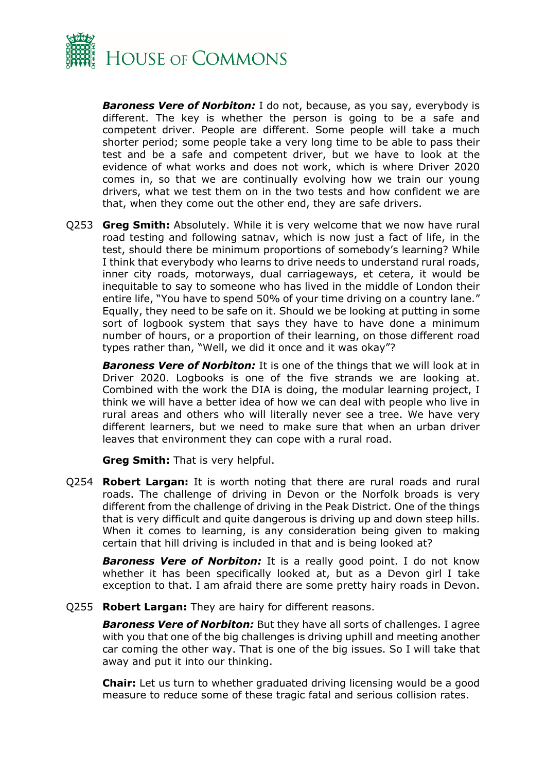

*Baroness Vere of Norbiton:* I do not, because, as you say, everybody is different. The key is whether the person is going to be a safe and competent driver. People are different. Some people will take a much shorter period; some people take a very long time to be able to pass their test and be a safe and competent driver, but we have to look at the evidence of what works and does not work, which is where Driver 2020 comes in, so that we are continually evolving how we train our young drivers, what we test them on in the two tests and how confident we are that, when they come out the other end, they are safe drivers.

Q253 **Greg Smith:** Absolutely. While it is very welcome that we now have rural road testing and following satnav, which is now just a fact of life, in the test, should there be minimum proportions of somebody's learning? While I think that everybody who learns to drive needs to understand rural roads, inner city roads, motorways, dual carriageways, et cetera, it would be inequitable to say to someone who has lived in the middle of London their entire life, "You have to spend 50% of your time driving on a country lane." Equally, they need to be safe on it. Should we be looking at putting in some sort of logbook system that says they have to have done a minimum number of hours, or a proportion of their learning, on those different road types rather than, "Well, we did it once and it was okay"?

*Baroness Vere of Norbiton:* It is one of the things that we will look at in Driver 2020. Logbooks is one of the five strands we are looking at. Combined with the work the DIA is doing, the modular learning project, I think we will have a better idea of how we can deal with people who live in rural areas and others who will literally never see a tree. We have very different learners, but we need to make sure that when an urban driver leaves that environment they can cope with a rural road.

**Greg Smith:** That is very helpful.

Q254 **Robert Largan:** It is worth noting that there are rural roads and rural roads. The challenge of driving in Devon or the Norfolk broads is very different from the challenge of driving in the Peak District. One of the things that is very difficult and quite dangerous is driving up and down steep hills. When it comes to learning, is any consideration being given to making certain that hill driving is included in that and is being looked at?

**Baroness Vere of Norbiton:** It is a really good point. I do not know whether it has been specifically looked at, but as a Devon girl I take exception to that. I am afraid there are some pretty hairy roads in Devon.

Q255 **Robert Largan:** They are hairy for different reasons.

*Baroness Vere of Norbiton:* But they have all sorts of challenges. I agree with you that one of the big challenges is driving uphill and meeting another car coming the other way. That is one of the big issues. So I will take that away and put it into our thinking.

**Chair:** Let us turn to whether graduated driving licensing would be a good measure to reduce some of these tragic fatal and serious collision rates.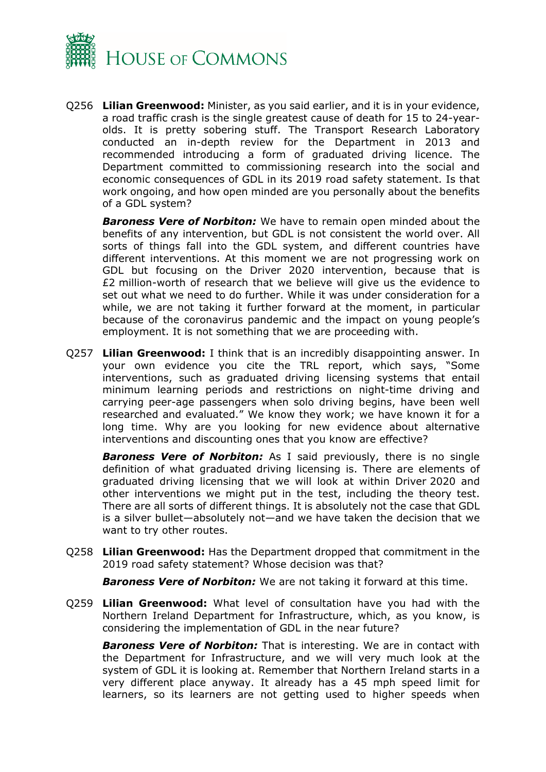

Q256 **Lilian Greenwood:** Minister, as you said earlier, and it is in your evidence, a road traffic crash is the single greatest cause of death for 15 to 24-yearolds. It is pretty sobering stuff. The Transport Research Laboratory conducted an in-depth review for the Department in 2013 and recommended introducing a form of graduated driving licence. The Department committed to commissioning research into the social and economic consequences of GDL in its 2019 road safety statement. Is that work ongoing, and how open minded are you personally about the benefits of a GDL system?

*Baroness Vere of Norbiton:* We have to remain open minded about the benefits of any intervention, but GDL is not consistent the world over. All sorts of things fall into the GDL system, and different countries have different interventions. At this moment we are not progressing work on GDL but focusing on the Driver 2020 intervention, because that is £2 million-worth of research that we believe will give us the evidence to set out what we need to do further. While it was under consideration for a while, we are not taking it further forward at the moment, in particular because of the coronavirus pandemic and the impact on young people's employment. It is not something that we are proceeding with.

Q257 **Lilian Greenwood:** I think that is an incredibly disappointing answer. In your own evidence you cite the TRL report, which says, "Some interventions, such as graduated driving licensing systems that entail minimum learning periods and restrictions on night-time driving and carrying peer-age passengers when solo driving begins, have been well researched and evaluated." We know they work; we have known it for a long time. Why are you looking for new evidence about alternative interventions and discounting ones that you know are effective?

**Baroness Vere of Norbiton:** As I said previously, there is no single definition of what graduated driving licensing is. There are elements of graduated driving licensing that we will look at within Driver 2020 and other interventions we might put in the test, including the theory test. There are all sorts of different things. It is absolutely not the case that GDL is a silver bullet—absolutely not—and we have taken the decision that we want to try other routes.

Q258 **Lilian Greenwood:** Has the Department dropped that commitment in the 2019 road safety statement? Whose decision was that?

*Baroness Vere of Norbiton:* We are not taking it forward at this time.

Q259 **Lilian Greenwood:** What level of consultation have you had with the Northern Ireland Department for Infrastructure, which, as you know, is considering the implementation of GDL in the near future?

*Baroness Vere of Norbiton:* That is interesting. We are in contact with the Department for Infrastructure, and we will very much look at the system of GDL it is looking at. Remember that Northern Ireland starts in a very different place anyway. It already has a 45 mph speed limit for learners, so its learners are not getting used to higher speeds when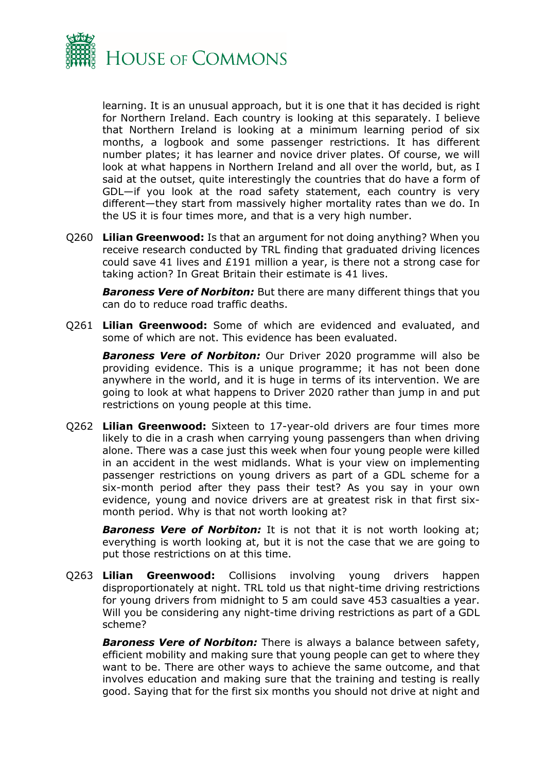

learning. It is an unusual approach, but it is one that it has decided is right for Northern Ireland. Each country is looking at this separately. I believe that Northern Ireland is looking at a minimum learning period of six months, a logbook and some passenger restrictions. It has different number plates; it has learner and novice driver plates. Of course, we will look at what happens in Northern Ireland and all over the world, but, as I said at the outset, quite interestingly the countries that do have a form of GDL—if you look at the road safety statement, each country is very different—they start from massively higher mortality rates than we do. In the US it is four times more, and that is a very high number.

Q260 **Lilian Greenwood:** Is that an argument for not doing anything? When you receive research conducted by TRL finding that graduated driving licences could save 41 lives and £191 million a year, is there not a strong case for taking action? In Great Britain their estimate is 41 lives.

*Baroness Vere of Norbiton:* But there are many different things that you can do to reduce road traffic deaths.

Q261 **Lilian Greenwood:** Some of which are evidenced and evaluated, and some of which are not. This evidence has been evaluated.

*Baroness Vere of Norbiton:* Our Driver 2020 programme will also be providing evidence. This is a unique programme; it has not been done anywhere in the world, and it is huge in terms of its intervention. We are going to look at what happens to Driver 2020 rather than jump in and put restrictions on young people at this time.

Q262 **Lilian Greenwood:** Sixteen to 17-year-old drivers are four times more likely to die in a crash when carrying young passengers than when driving alone. There was a case just this week when four young people were killed in an accident in the west midlands. What is your view on implementing passenger restrictions on young drivers as part of a GDL scheme for a six-month period after they pass their test? As you say in your own evidence, young and novice drivers are at greatest risk in that first sixmonth period. Why is that not worth looking at?

**Baroness Vere of Norbiton:** It is not that it is not worth looking at; everything is worth looking at, but it is not the case that we are going to put those restrictions on at this time.

Q263 **Lilian Greenwood:** Collisions involving young drivers happen disproportionately at night. TRL told us that night-time driving restrictions for young drivers from midnight to 5 am could save 453 casualties a year. Will you be considering any night-time driving restrictions as part of a GDL scheme?

*Baroness Vere of Norbiton:* There is always a balance between safety, efficient mobility and making sure that young people can get to where they want to be. There are other ways to achieve the same outcome, and that involves education and making sure that the training and testing is really good. Saying that for the first six months you should not drive at night and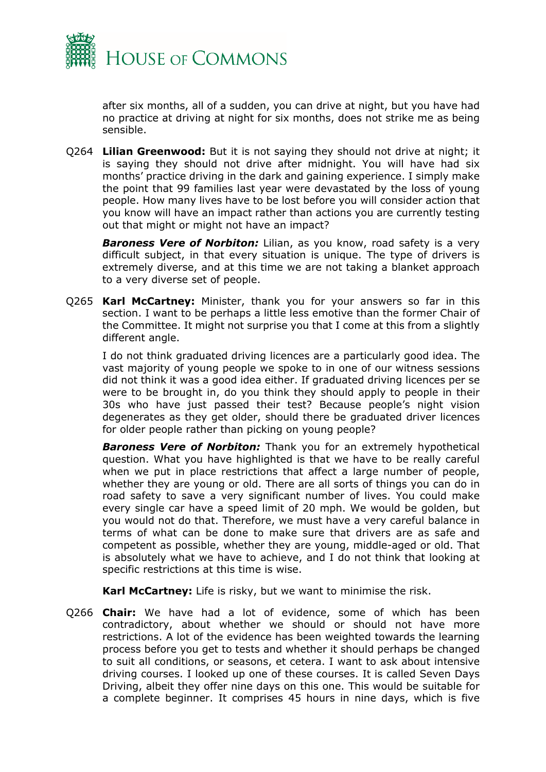

after six months, all of a sudden, you can drive at night, but you have had no practice at driving at night for six months, does not strike me as being sensible.

Q264 **Lilian Greenwood:** But it is not saying they should not drive at night; it is saying they should not drive after midnight. You will have had six months' practice driving in the dark and gaining experience. I simply make the point that 99 families last year were devastated by the loss of young people. How many lives have to be lost before you will consider action that you know will have an impact rather than actions you are currently testing out that might or might not have an impact?

**Baroness Vere of Norbiton:** Lilian, as you know, road safety is a very difficult subject, in that every situation is unique. The type of drivers is extremely diverse, and at this time we are not taking a blanket approach to a very diverse set of people.

Q265 **Karl McCartney:** Minister, thank you for your answers so far in this section. I want to be perhaps a little less emotive than the former Chair of the Committee. It might not surprise you that I come at this from a slightly different angle.

I do not think graduated driving licences are a particularly good idea. The vast majority of young people we spoke to in one of our witness sessions did not think it was a good idea either. If graduated driving licences per se were to be brought in, do you think they should apply to people in their 30s who have just passed their test? Because people's night vision degenerates as they get older, should there be graduated driver licences for older people rather than picking on young people?

**Baroness Vere of Norbiton:** Thank you for an extremely hypothetical question. What you have highlighted is that we have to be really careful when we put in place restrictions that affect a large number of people, whether they are young or old. There are all sorts of things you can do in road safety to save a very significant number of lives. You could make every single car have a speed limit of 20 mph. We would be golden, but you would not do that. Therefore, we must have a very careful balance in terms of what can be done to make sure that drivers are as safe and competent as possible, whether they are young, middle-aged or old. That is absolutely what we have to achieve, and I do not think that looking at specific restrictions at this time is wise.

**Karl McCartney:** Life is risky, but we want to minimise the risk.

Q266 **Chair:** We have had a lot of evidence, some of which has been contradictory, about whether we should or should not have more restrictions. A lot of the evidence has been weighted towards the learning process before you get to tests and whether it should perhaps be changed to suit all conditions, or seasons, et cetera. I want to ask about intensive driving courses. I looked up one of these courses. It is called Seven Days Driving, albeit they offer nine days on this one. This would be suitable for a complete beginner. It comprises 45 hours in nine days, which is five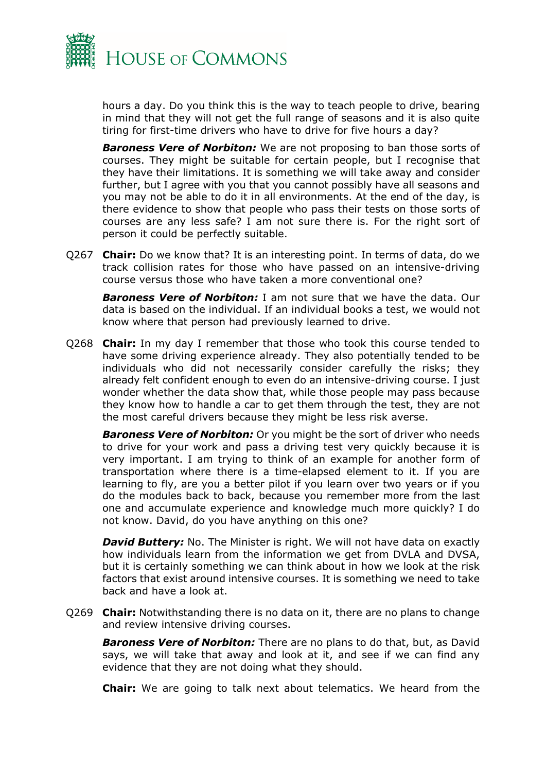

hours a day. Do you think this is the way to teach people to drive, bearing in mind that they will not get the full range of seasons and it is also quite tiring for first-time drivers who have to drive for five hours a day?

**Baroness Vere of Norbiton:** We are not proposing to ban those sorts of courses. They might be suitable for certain people, but I recognise that they have their limitations. It is something we will take away and consider further, but I agree with you that you cannot possibly have all seasons and you may not be able to do it in all environments. At the end of the day, is there evidence to show that people who pass their tests on those sorts of courses are any less safe? I am not sure there is. For the right sort of person it could be perfectly suitable.

Q267 **Chair:** Do we know that? It is an interesting point. In terms of data, do we track collision rates for those who have passed on an intensive-driving course versus those who have taken a more conventional one?

*Baroness Vere of Norbiton:* I am not sure that we have the data. Our data is based on the individual. If an individual books a test, we would not know where that person had previously learned to drive.

Q268 **Chair:** In my day I remember that those who took this course tended to have some driving experience already. They also potentially tended to be individuals who did not necessarily consider carefully the risks; they already felt confident enough to even do an intensive-driving course. I just wonder whether the data show that, while those people may pass because they know how to handle a car to get them through the test, they are not the most careful drivers because they might be less risk averse.

*Baroness Vere of Norbiton:* Or you might be the sort of driver who needs to drive for your work and pass a driving test very quickly because it is very important. I am trying to think of an example for another form of transportation where there is a time-elapsed element to it. If you are learning to fly, are you a better pilot if you learn over two years or if you do the modules back to back, because you remember more from the last one and accumulate experience and knowledge much more quickly? I do not know. David, do you have anything on this one?

*David Buttery:* No. The Minister is right. We will not have data on exactly how individuals learn from the information we get from DVLA and DVSA, but it is certainly something we can think about in how we look at the risk factors that exist around intensive courses. It is something we need to take back and have a look at.

Q269 **Chair:** Notwithstanding there is no data on it, there are no plans to change and review intensive driving courses.

*Baroness Vere of Norbiton:* There are no plans to do that, but, as David says, we will take that away and look at it, and see if we can find any evidence that they are not doing what they should.

**Chair:** We are going to talk next about telematics. We heard from the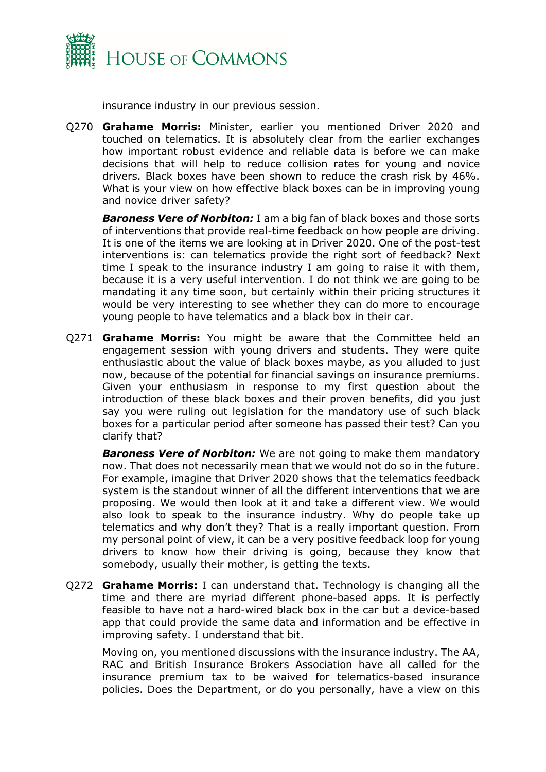

insurance industry in our previous session.

Q270 **Grahame Morris:** Minister, earlier you mentioned Driver 2020 and touched on telematics. It is absolutely clear from the earlier exchanges how important robust evidence and reliable data is before we can make decisions that will help to reduce collision rates for young and novice drivers. Black boxes have been shown to reduce the crash risk by 46%. What is your view on how effective black boxes can be in improving young and novice driver safety?

*Baroness Vere of Norbiton:* I am a big fan of black boxes and those sorts of interventions that provide real-time feedback on how people are driving. It is one of the items we are looking at in Driver 2020. One of the post-test interventions is: can telematics provide the right sort of feedback? Next time I speak to the insurance industry I am going to raise it with them, because it is a very useful intervention. I do not think we are going to be mandating it any time soon, but certainly within their pricing structures it would be very interesting to see whether they can do more to encourage young people to have telematics and a black box in their car.

Q271 **Grahame Morris:** You might be aware that the Committee held an engagement session with young drivers and students. They were quite enthusiastic about the value of black boxes maybe, as you alluded to just now, because of the potential for financial savings on insurance premiums. Given your enthusiasm in response to my first question about the introduction of these black boxes and their proven benefits, did you just say you were ruling out legislation for the mandatory use of such black boxes for a particular period after someone has passed their test? Can you clarify that?

*Baroness Vere of Norbiton:* We are not going to make them mandatory now. That does not necessarily mean that we would not do so in the future. For example, imagine that Driver 2020 shows that the telematics feedback system is the standout winner of all the different interventions that we are proposing. We would then look at it and take a different view. We would also look to speak to the insurance industry. Why do people take up telematics and why don't they? That is a really important question. From my personal point of view, it can be a very positive feedback loop for young drivers to know how their driving is going, because they know that somebody, usually their mother, is getting the texts.

Q272 **Grahame Morris:** I can understand that. Technology is changing all the time and there are myriad different phone-based apps. It is perfectly feasible to have not a hard-wired black box in the car but a device-based app that could provide the same data and information and be effective in improving safety. I understand that bit.

Moving on, you mentioned discussions with the insurance industry. The AA, RAC and British Insurance Brokers Association have all called for the insurance premium tax to be waived for telematics-based insurance policies. Does the Department, or do you personally, have a view on this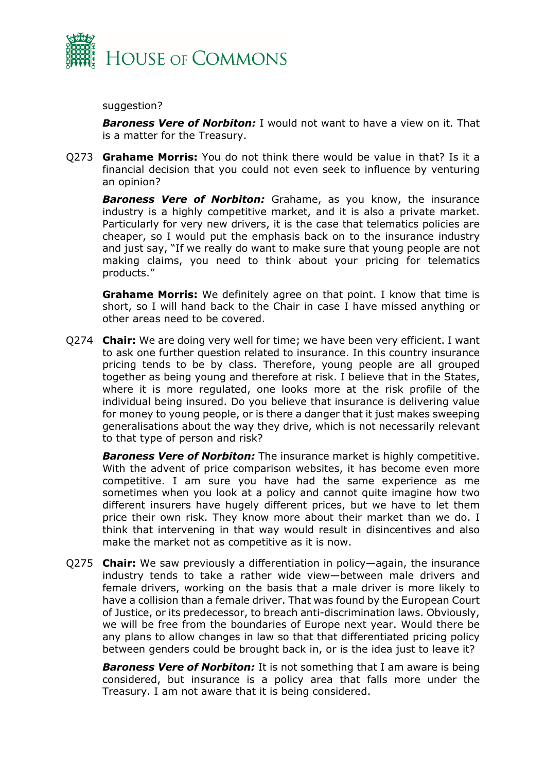

suggestion?

*Baroness Vere of Norbiton:* I would not want to have a view on it. That is a matter for the Treasury.

Q273 **Grahame Morris:** You do not think there would be value in that? Is it a financial decision that you could not even seek to influence by venturing an opinion?

*Baroness Vere of Norbiton:* Grahame, as you know, the insurance industry is a highly competitive market, and it is also a private market. Particularly for very new drivers, it is the case that telematics policies are cheaper, so I would put the emphasis back on to the insurance industry and just say, "If we really do want to make sure that young people are not making claims, you need to think about your pricing for telematics products."

**Grahame Morris:** We definitely agree on that point. I know that time is short, so I will hand back to the Chair in case I have missed anything or other areas need to be covered.

Q274 **Chair:** We are doing very well for time; we have been very efficient. I want to ask one further question related to insurance. In this country insurance pricing tends to be by class. Therefore, young people are all grouped together as being young and therefore at risk. I believe that in the States, where it is more regulated, one looks more at the risk profile of the individual being insured. Do you believe that insurance is delivering value for money to young people, or is there a danger that it just makes sweeping generalisations about the way they drive, which is not necessarily relevant to that type of person and risk?

*Baroness Vere of Norbiton:* The insurance market is highly competitive. With the advent of price comparison websites, it has become even more competitive. I am sure you have had the same experience as me sometimes when you look at a policy and cannot quite imagine how two different insurers have hugely different prices, but we have to let them price their own risk. They know more about their market than we do. I think that intervening in that way would result in disincentives and also make the market not as competitive as it is now.

Q275 **Chair:** We saw previously a differentiation in policy—again, the insurance industry tends to take a rather wide view—between male drivers and female drivers, working on the basis that a male driver is more likely to have a collision than a female driver. That was found by the European Court of Justice, or its predecessor, to breach anti-discrimination laws. Obviously, we will be free from the boundaries of Europe next year. Would there be any plans to allow changes in law so that that differentiated pricing policy between genders could be brought back in, or is the idea just to leave it?

**Baroness Vere of Norbiton:** It is not something that I am aware is being considered, but insurance is a policy area that falls more under the Treasury. I am not aware that it is being considered.